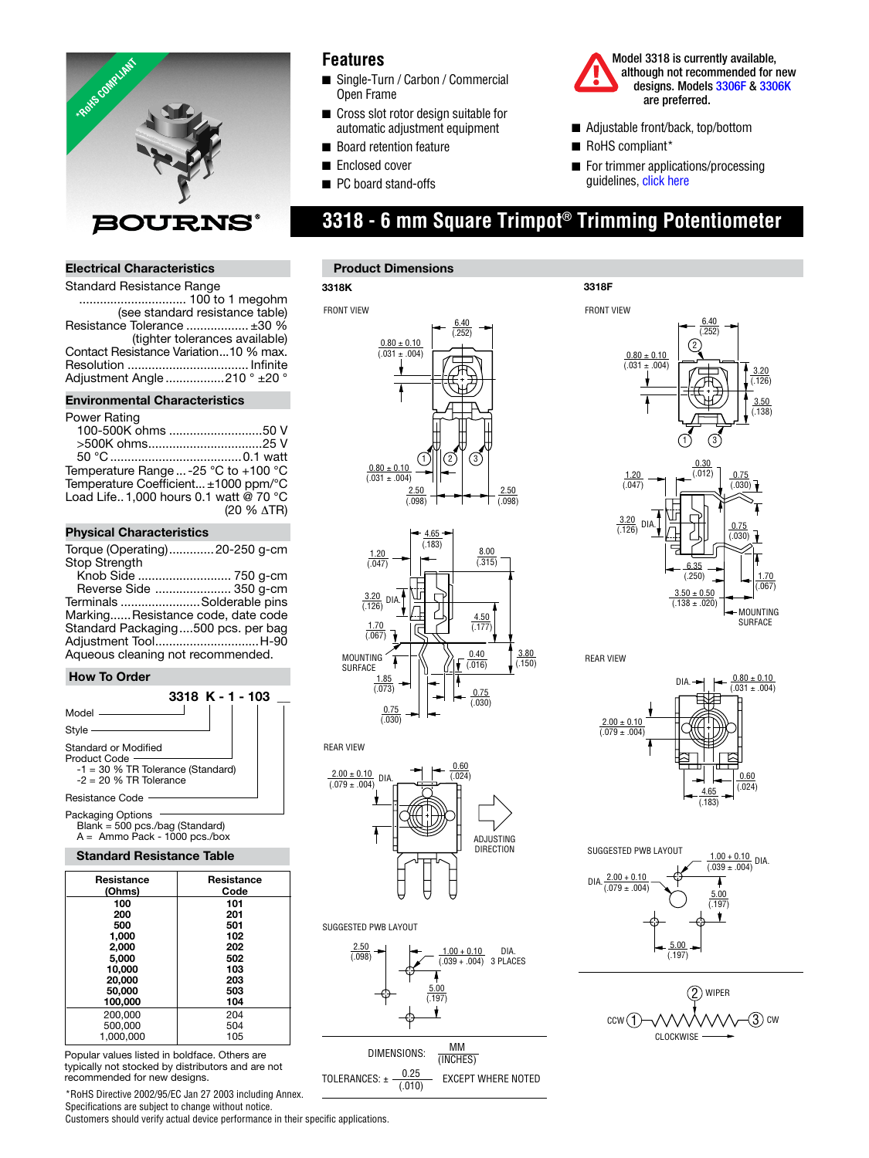

## **Electrical Characteristics**

| <b>Standard Resistance Range</b>      |                                 |
|---------------------------------------|---------------------------------|
|                                       |                                 |
|                                       | (see standard resistance table) |
| Resistance Tolerance  ±30 %           |                                 |
|                                       | (tighter tolerances available)  |
| Contact Resistance Variation10 % max. |                                 |
|                                       |                                 |
| Adjustment Angle 210 ° ±20 °          |                                 |
|                                       |                                 |

#### **Environmental Characteristics**

#### Power Rating

| <b>FUWEI NAULIY</b>                   |            |
|---------------------------------------|------------|
| 100-500K ohms 50 V                    |            |
| >500K ohms25 V                        |            |
|                                       |            |
| Temperature Range  -25 °C to +100 °C  |            |
| Temperature Coefficient ±1000 ppm/°C  |            |
| Load Life1.000 hours 0.1 watt @ 70 °C |            |
|                                       | (20 % ATR) |
|                                       |            |

### **Physical Characteristics**

Torque (Operating) .............20-250 g-cm Stop Strength

 Knob Side ........................... 750 g-cm Reverse Side ...................... 350 g-cm Terminals .......................Solderable pins Marking...... Resistance code, date code Standard Packaging ....500 pcs. per bag Adjustment Tool ..............................H-90 Aqueous cleaning not recommended.

### **How To Order**



Packaging Options Blank = 500 pcs./bag (Standard) A = Ammo Pack - 1000 pcs./box

#### **Standard Resistance Table**

| Resistance<br>(Ohms) | Resistance<br>Code |
|----------------------|--------------------|
| 100                  | 101                |
| 200                  | 201                |
| 500                  | 501                |
| 1,000                | 102                |
| 2.000                | 202                |
| 5.000                | 502                |
| 10,000               | 103                |
| 20,000               | 203                |
| 50,000               | 503                |
| 100,000              | 104                |
| 200,000              | 204                |
| 500,000              | 504                |
| 1.000.000            | 105                |

Popular values listed in boldface. Others are typically not stocked by distributors and are not recommended for new designs.

\*RoHS Directive 2002/95/EC Jan 27 2003 including Annex. Specifications are subject to change without notice.

Customers should verify actual device performance in their specific applications.

## **Features**

- Single-Turn / Carbon / Commercial Open Frame
- Cross slot rotor design suitable for automatic adjustment equipment
- Board retention feature
- Enclosed cover
- PC board stand-offs



- Adjustable front/back, top/bottom
- RoHS compliant\*
- For trimmer applications/processing guideline[s, click here](http://www.bourns.com/data/global/pdfs/ap_proc.pdf)

# **3318 - 6 mm Square Trimpot® Trimming Potentiometer**

#### **Product Dimensions**

**3318K**





#### REAR VIEW

SUGGESTED PWB LAYOUT





TOLERANCES:  $\pm \frac{0.25}{(.010)}$  EXCEPT WHERE NOTED



REAR VIEW

 $0.80 \pm 0.10$  $(.031 + .004)$ 0.60  $\frac{4.65}{2}$  (.024) (.183)  $\frac{2.00 \pm 0.10}{(.079 \pm .004)}$ DIA.



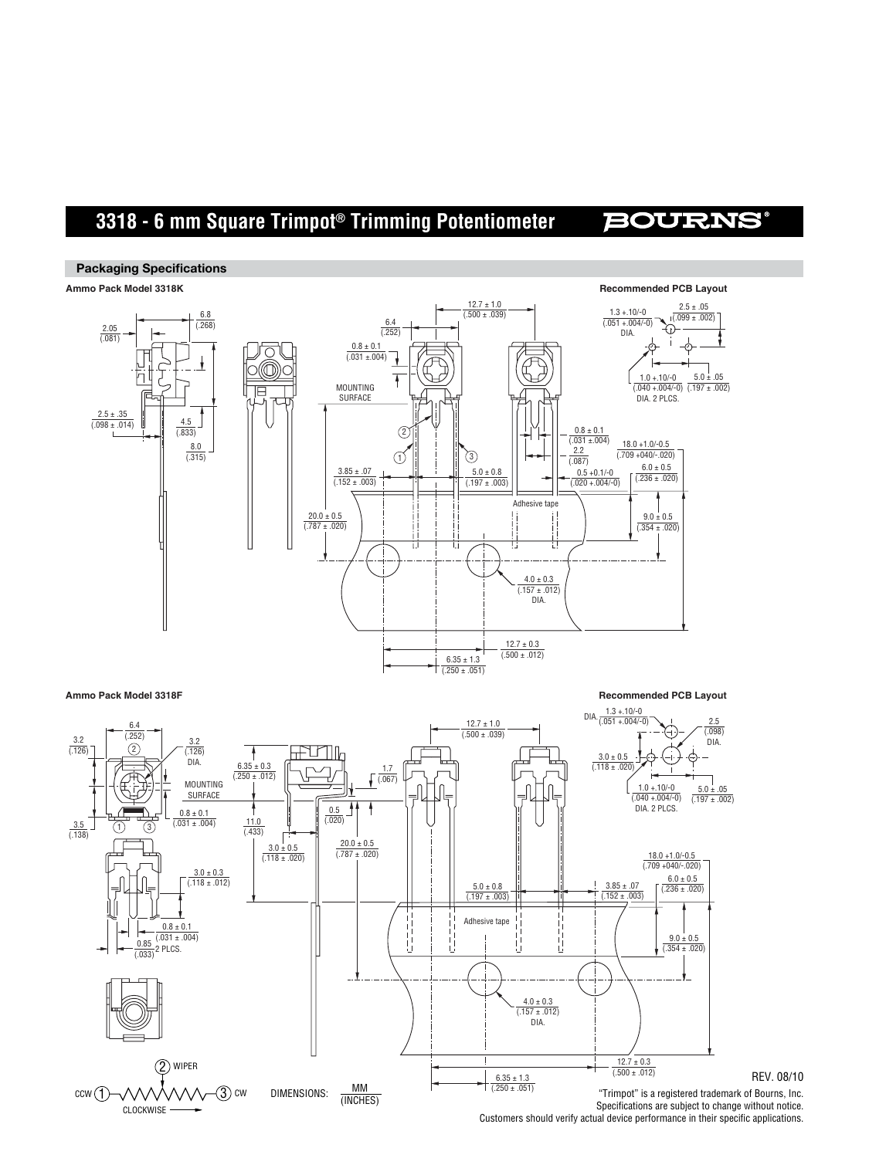# **3318 - 6 mm Square Trimpot® Trimming Potentiometer**

## **BOURNS**

#### **Packaging Specifications**